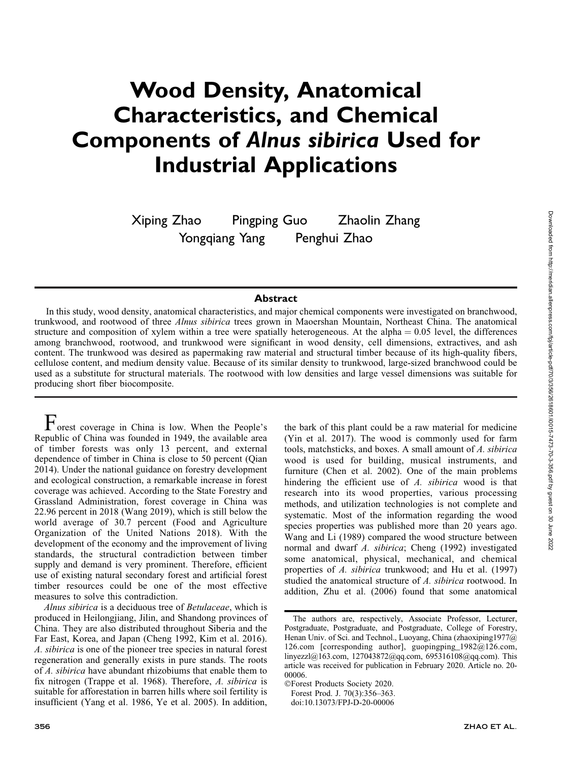# Wood Density, Anatomical Characteristics, and Chemical Components of Alnus sibirica Used for Industrial Applications

Xiping Zhao Pingping Guo Zhaolin Zhang Yongqiang Yang Penghui Zhao

## **Abstract**

In this study, wood density, anatomical characteristics, and major chemical components were investigated on branchwood, trunkwood, and rootwood of three Alnus sibirica trees grown in Maoershan Mountain, Northeast China. The anatomical structure and composition of xylem within a tree were spatially heterogeneous. At the alpha  $= 0.05$  level, the differences among branchwood, rootwood, and trunkwood were significant in wood density, cell dimensions, extractives, and ash content. The trunkwood was desired as papermaking raw material and structural timber because of its high-quality fibers, cellulose content, and medium density value. Because of its similar density to trunkwood, large-sized branchwood could be used as a substitute for structural materials. The rootwood with low densities and large vessel dimensions was suitable for producing short fiber biocomposite.

Forest coverage in China is low. When the People's Republic of China was founded in 1949, the available area of timber forests was only 13 percent, and external dependence of timber in China is close to 50 percent (Qian 2014). Under the national guidance on forestry development and ecological construction, a remarkable increase in forest coverage was achieved. According to the State Forestry and Grassland Administration, forest coverage in China was 22.96 percent in 2018 (Wang 2019), which is still below the world average of 30.7 percent (Food and Agriculture Organization of the United Nations 2018). With the development of the economy and the improvement of living standards, the structural contradiction between timber supply and demand is very prominent. Therefore, efficient use of existing natural secondary forest and artificial forest timber resources could be one of the most effective measures to solve this contradiction.

Alnus sibirica is a deciduous tree of Betulaceae, which is produced in Heilongjiang, Jilin, and Shandong provinces of China. They are also distributed throughout Siberia and the Far East, Korea, and Japan (Cheng 1992, Kim et al. 2016). A. sibirica is one of the pioneer tree species in natural forest regeneration and generally exists in pure stands. The roots of A. sibirica have abundant rhizobiums that enable them to fix nitrogen (Trappe et al. 1968). Therefore, A. sibirica is suitable for afforestation in barren hills where soil fertility is insufficient (Yang et al. 1986, Ye et al. 2005). In addition,

the bark of this plant could be a raw material for medicine (Yin et al. 2017). The wood is commonly used for farm tools, matchsticks, and boxes. A small amount of A. sibirica wood is used for building, musical instruments, and furniture (Chen et al. 2002). One of the main problems hindering the efficient use of A. sibirica wood is that research into its wood properties, various processing methods, and utilization technologies is not complete and systematic. Most of the information regarding the wood species properties was published more than 20 years ago. Wang and Li (1989) compared the wood structure between normal and dwarf A. sibirica; Cheng (1992) investigated some anatomical, physical, mechanical, and chemical properties of A. sibirica trunkwood; and Hu et al. (1997) studied the anatomical structure of A. sibirica rootwood. In addition, Zhu et al. (2006) found that some anatomical

The authors are, respectively, Associate Professor, Lecturer, Postgraduate, Postgraduate, and Postgraduate, College of Forestry, Henan Univ. of Sci. and Technol., Luoyang, China (zhaoxiping1977@) 126.com [corresponding author], guopingping\_1982@126.com, linyezzl@163.com, 127043872@qq.com, 695316108@qq.com). This article was received for publication in February 2020. Article no. 20- 00006.

<sup>-</sup>Forest Products Society 2020. Forest Prod. J. 70(3):356–363. doi:10.13073/FPJ-D-20-00006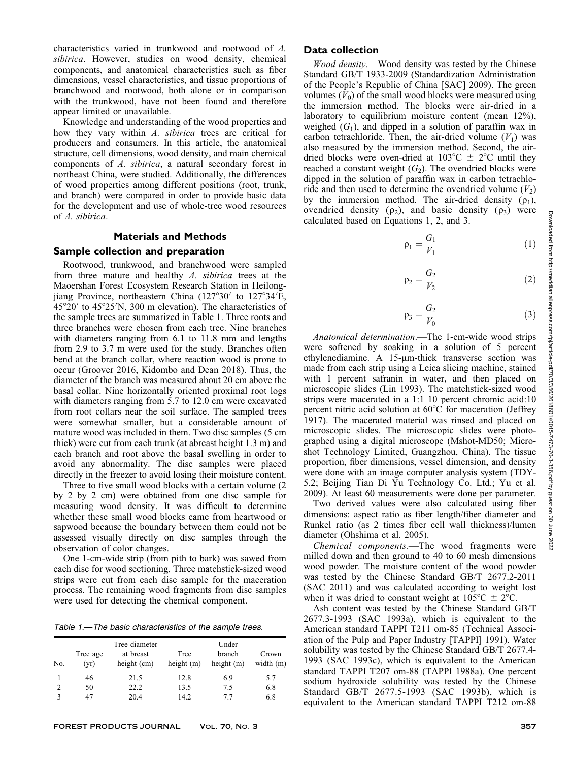characteristics varied in trunkwood and rootwood of A. sibirica. However, studies on wood density, chemical components, and anatomical characteristics such as fiber dimensions, vessel characteristics, and tissue proportions of branchwood and rootwood, both alone or in comparison with the trunkwood, have not been found and therefore appear limited or unavailable.

Knowledge and understanding of the wood properties and how they vary within A. sibirica trees are critical for producers and consumers. In this article, the anatomical structure, cell dimensions, wood density, and main chemical components of A. sibirica, a natural secondary forest in northeast China, were studied. Additionally, the differences of wood properties among different positions (root, trunk, and branch) were compared in order to provide basic data for the development and use of whole-tree wood resources of A. sibirica.

# Materials and Methods

#### Sample collection and preparation

Rootwood, trunkwood, and branchwood were sampled from three mature and healthy A. sibirica trees at the Maoershan Forest Ecosystem Research Station in Heilongjiang Province, northeastern China  $(127°30'$  to  $127°34'E$ ,  $45^{\circ}20'$  to  $45^{\circ}25'$ N, 300 m elevation). The characteristics of the sample trees are summarized in Table 1. Three roots and three branches were chosen from each tree. Nine branches with diameters ranging from 6.1 to 11.8 mm and lengths from 2.9 to 3.7 m were used for the study. Branches often bend at the branch collar, where reaction wood is prone to occur (Groover 2016, Kidombo and Dean 2018). Thus, the diameter of the branch was measured about 20 cm above the basal collar. Nine horizontally oriented proximal root logs with diameters ranging from 5.7 to 12.0 cm were excavated from root collars near the soil surface. The sampled trees were somewhat smaller, but a considerable amount of mature wood was included in them. Two disc samples (5 cm thick) were cut from each trunk (at abreast height 1.3 m) and each branch and root above the basal swelling in order to avoid any abnormality. The disc samples were placed directly in the freezer to avoid losing their moisture content.

Three to five small wood blocks with a certain volume (2 by 2 by 2 cm) were obtained from one disc sample for measuring wood density. It was difficult to determine whether these small wood blocks came from heartwood or sapwood because the boundary between them could not be assessed visually directly on disc samples through the observation of color changes.

One 1-cm-wide strip (from pith to bark) was sawed from each disc for wood sectioning. Three matchstick-sized wood strips were cut from each disc sample for the maceration process. The remaining wood fragments from disc samples were used for detecting the chemical component.

Table 1.—The basic characteristics of the sample trees.

| No. | Tree age<br>(vr) | Tree diameter<br>at breast<br>height (cm) | Tree<br>height $(m)$ | Under<br>branch<br>height $(m)$ | Crown<br>width $(m)$ |
|-----|------------------|-------------------------------------------|----------------------|---------------------------------|----------------------|
|     | 46               | 21.5                                      | 12.8                 | 6.9                             | 5.7                  |
|     | 50               | 22.2                                      | 13.5                 | 7.5                             | 6.8                  |
|     | 47               | 20.4                                      | 14.2                 | 77                              | 6.8                  |

#### Data collection

Wood density.—Wood density was tested by the Chinese Standard GB/T 1933-2009 (Standardization Administration of the People's Republic of China [SAC] 2009). The green volumes  $(V_0)$  of the small wood blocks were measured using the immersion method. The blocks were air-dried in a laboratory to equilibrium moisture content (mean 12%), weighed  $(G_1)$ , and dipped in a solution of paraffin wax in carbon tetrachloride. Then, the air-dried volume  $(V_1)$  was also measured by the immersion method. Second, the airdried blocks were oven-dried at  $103^{\circ}\text{C} \pm 2^{\circ}\text{C}$  until they reached a constant weight  $(G_2)$ . The ovendried blocks were dipped in the solution of paraffin wax in carbon tetrachloride and then used to determine the ovendried volume  $(V_2)$ by the immersion method. The air-dried density  $(\rho_1)$ , ovendried density ( $\rho_2$ ), and basic density ( $\rho_3$ ) were calculated based on Equations 1, 2, and 3.

$$
\rho_1 = \frac{G_1}{V_1} \tag{1}
$$

$$
\rho_2 = \frac{G_2}{V_2} \tag{2}
$$

$$
\rho_3 = \frac{G_2}{V_0} \tag{3}
$$

Anatomical determination.—The 1-cm-wide wood strips were softened by soaking in a solution of 5 percent ethylenediamine. A  $15$ - $\mu$ m-thick transverse section was made from each strip using a Leica slicing machine, stained with 1 percent safranin in water, and then placed on microscopic slides (Lin 1993). The matchstick-sized wood strips were macerated in a 1:1 10 percent chromic acid:10 percent nitric acid solution at  $60^{\circ}$ C for maceration (Jeffrey 1917). The macerated material was rinsed and placed on microscopic slides. The microscopic slides were photographed using a digital microscope (Mshot-MD50; Microshot Technology Limited, Guangzhou, China). The tissue proportion, fiber dimensions, vessel dimension, and density were done with an image computer analysis system (TDY-5.2; Beijing Tian Di Yu Technology Co. Ltd.; Yu et al. 2009). At least 60 measurements were done per parameter.

Two derived values were also calculated using fiber dimensions: aspect ratio as fiber length/fiber diameter and Runkel ratio (as 2 times fiber cell wall thickness)/lumen diameter (Ohshima et al. 2005).

Chemical components.—The wood fragments were milled down and then ground to 40 to 60 mesh dimensions wood powder. The moisture content of the wood powder was tested by the Chinese Standard GB/T 2677.2-2011 (SAC 2011) and was calculated according to weight lost when it was dried to constant weight at  $105^{\circ}\text{C} \pm 2^{\circ}\text{C}$ .

Ash content was tested by the Chinese Standard GB/T 2677.3-1993 (SAC 1993a), which is equivalent to the American standard TAPPI T211 om-85 (Technical Association of the Pulp and Paper Industry [TAPPI] 1991). Water solubility was tested by the Chinese Standard GB/T 2677.4- 1993 (SAC 1993c), which is equivalent to the American standard TAPPI T207 om-88 (TAPPI 1988a). One percent sodium hydroxide solubility was tested by the Chinese Standard GB/T 2677.5-1993 (SAC 1993b), which is equivalent to the American standard TAPPI T212 om-88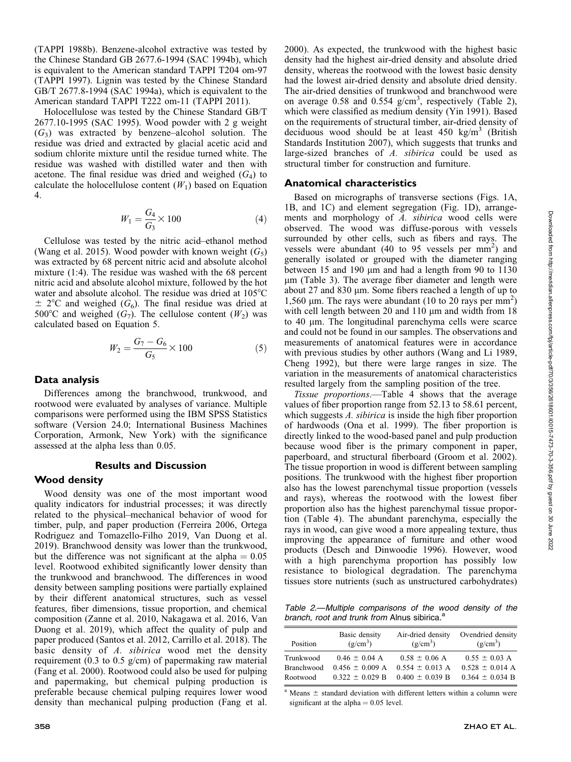(TAPPI 1988b). Benzene-alcohol extractive was tested by the Chinese Standard GB 2677.6-1994 (SAC 1994b), which is equivalent to the American standard TAPPI T204 om-97 (TAPPI 1997). Lignin was tested by the Chinese Standard GB/T 2677.8-1994 (SAC 1994a), which is equivalent to the American standard TAPPI T222 om-11 (TAPPI 2011).

Holocellulose was tested by the Chinese Standard GB/T 2677.10-1995 (SAC 1995). Wood powder with 2 g weight  $(G<sub>3</sub>)$  was extracted by benzene–alcohol solution. The residue was dried and extracted by glacial acetic acid and sodium chlorite mixture until the residue turned white. The residue was washed with distilled water and then with acetone. The final residue was dried and weighed  $(G_4)$  to calculate the holocellulose content  $(W_1)$  based on Equation 4.

$$
W_1 = \frac{G_4}{G_3} \times 100
$$
 (4)

Cellulose was tested by the nitric acid–ethanol method (Wang et al. 2015). Wood powder with known weight  $(G<sub>5</sub>)$ was extracted by 68 percent nitric acid and absolute alcohol mixture (1:4). The residue was washed with the 68 percent nitric acid and absolute alcohol mixture, followed by the hot water and absolute alcohol. The residue was dried at  $105^{\circ}$ C  $\pm$  2°C and weighed (G<sub>6</sub>). The final residue was dried at 500°C and weighed  $(G_7)$ . The cellulose content  $(W_2)$  was calculated based on Equation 5.

$$
W_2 = \frac{G_7 - G_6}{G_5} \times 100\tag{5}
$$

#### Data analysis

Differences among the branchwood, trunkwood, and rootwood were evaluated by analyses of variance. Multiple comparisons were performed using the IBM SPSS Statistics software (Version 24.0; International Business Machines Corporation, Armonk, New York) with the significance assessed at the alpha less than 0.05.

### Results and Discussion

#### Wood density

Wood density was one of the most important wood quality indicators for industrial processes; it was directly related to the physical–mechanical behavior of wood for timber, pulp, and paper production (Ferreira 2006, Ortega Rodriguez and Tomazello-Filho 2019, Van Duong et al. 2019). Branchwood density was lower than the trunkwood, but the difference was not significant at the alpha  $= 0.05$ level. Rootwood exhibited significantly lower density than the trunkwood and branchwood. The differences in wood density between sampling positions were partially explained by their different anatomical structures, such as vessel features, fiber dimensions, tissue proportion, and chemical composition (Zanne et al. 2010, Nakagawa et al. 2016, Van Duong et al. 2019), which affect the quality of pulp and paper produced (Santos et al. 2012, Carrillo et al. 2018). The basic density of A. sibirica wood met the density requirement (0.3 to 0.5 g/cm) of papermaking raw material (Fang et al. 2000). Rootwood could also be used for pulping and papermaking, but chemical pulping production is preferable because chemical pulping requires lower wood density than mechanical pulping production (Fang et al. 2000). As expected, the trunkwood with the highest basic density had the highest air-dried density and absolute dried density, whereas the rootwood with the lowest basic density had the lowest air-dried density and absolute dried density. The air-dried densities of trunkwood and branchwood were on average 0.58 and 0.554  $g/cm<sup>3</sup>$ , respectively (Table 2), which were classified as medium density (Yin 1991). Based on the requirements of structural timber, air-dried density of deciduous wood should be at least  $450 \text{ kg/m}^3$  (British Standards Institution 2007), which suggests that trunks and large-sized branches of A. sibirica could be used as structural timber for construction and furniture.

#### Anatomical characteristics

Based on micrographs of transverse sections (Figs. 1A, 1B, and 1C) and element segregation (Fig. 1D), arrangements and morphology of A. sibirica wood cells were observed. The wood was diffuse-porous with vessels surrounded by other cells, such as fibers and rays. The vessels were abundant  $(40 \text{ to } 95 \text{ vessels per mm}^2)$  and generally isolated or grouped with the diameter ranging between  $15$  and  $190 \mu m$  and had a length from  $90$  to  $1130$  $\mu$ m (Table 3). The average fiber diameter and length were about 27 and 830 µm. Some fibers reached a length of up to 1,560 µm. The rays were abundant (10 to 20 rays per  $\text{mm}^2$ ) with cell length between 20 and 110  $\mu$ m and width from 18 to 40 μm. The longitudinal parenchyma cells were scarce and could not be found in our samples. The observations and measurements of anatomical features were in accordance with previous studies by other authors (Wang and Li 1989, Cheng 1992), but there were large ranges in size. The variation in the measurements of anatomical characteristics resulted largely from the sampling position of the tree.

Tissue proportions.—Table 4 shows that the average values of fiber proportion range from 52.13 to 58.61 percent, which suggests A. sibirica is inside the high fiber proportion of hardwoods (Ona et al. 1999). The fiber proportion is directly linked to the wood-based panel and pulp production because wood fiber is the primary component in paper, paperboard, and structural fiberboard (Groom et al. 2002). The tissue proportion in wood is different between sampling positions. The trunkwood with the highest fiber proportion also has the lowest parenchymal tissue proportion (vessels and rays), whereas the rootwood with the lowest fiber proportion also has the highest parenchymal tissue proportion (Table 4). The abundant parenchyma, especially the rays in wood, can give wood a more appealing texture, thus improving the appearance of furniture and other wood products (Desch and Dinwoodie 1996). However, wood with a high parenchyma proportion has possibly low resistance to biological degradation. The parenchyma tissues store nutrients (such as unstructured carbohydrates)

Table 2.—Multiple comparisons of the wood density of the branch, root and trunk from Alnus sibirica.<sup>a</sup>

| Position          | Basic density<br>(g/cm <sup>3</sup> ) | Air-dried density<br>$(g/cm^3)$ | Ovendried density<br>(g/cm <sup>3</sup> ) |
|-------------------|---------------------------------------|---------------------------------|-------------------------------------------|
| Trunkwood         | $0.46 \pm 0.04$ A                     | $0.58 \pm 0.06$ A               | $0.55 \pm 0.03$ A                         |
| <b>Branchwood</b> | $0.456 \pm 0.009$ A                   | $0.554 \pm 0.013$ A             | $0.528 \pm 0.014$ A                       |
| Rootwood          | $0.322 \pm 0.029$ B                   | $0.400 \pm 0.039 B$             | $0.364 \pm 0.034$ B                       |

<sup>a</sup> Means  $\pm$  standard deviation with different letters within a column were significant at the alpha  $= 0.05$  level.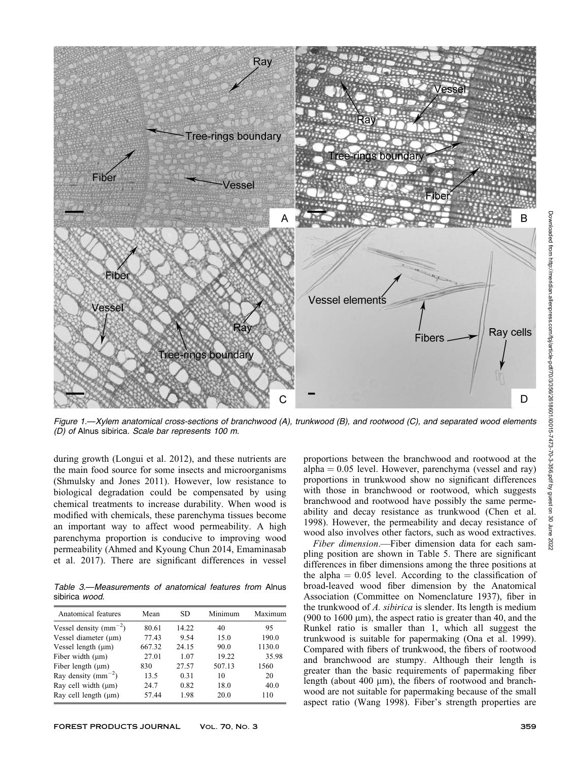

Figure 1.—Xylem anatomical cross-sections of branchwood (A), trunkwood (B), and rootwood (C), and separated wood elements (D) of Alnus sibirica. Scale bar represents 100 m.

during growth (Longui et al. 2012), and these nutrients are the main food source for some insects and microorganisms (Shmulsky and Jones 2011). However, low resistance to biological degradation could be compensated by using chemical treatments to increase durability. When wood is modified with chemicals, these parenchyma tissues become an important way to affect wood permeability. A high parenchyma proportion is conducive to improving wood permeability (Ahmed and Kyoung Chun 2014, Emaminasab et al. 2017). There are significant differences in vessel

Table 3.—Measurements of anatomical features from Alnus sibirica wood.

| Anatomical features        | Mean   | SD.   | Minimum | Maximum |
|----------------------------|--------|-------|---------|---------|
| Vessel density $(mm^{-2})$ | 80.61  | 14.22 | 40      | 95      |
| Vessel diameter $(\mu m)$  | 77.43  | 9.54  | 15.0    | 190.0   |
| Vessel length $(\mu m)$    | 667.32 | 24.15 | 90.0    | 1130.0  |
| Fiber width $(\mu m)$      | 27.01  | 1.07  | 19.22   | 35.98   |
| Fiber length $(\mu m)$     | 830    | 27.57 | 507.13  | 1560    |
| Ray density ( $mm^{-2}$ )  | 13.5   | 0.31  | 10      | 20      |
| Ray cell width $(\mu m)$   | 24.7   | 0.82  | 18.0    | 40.0    |
| Ray cell length $(\mu m)$  | 57.44  | 1.98  | 20.0    | 110     |

proportions between the branchwood and rootwood at the alpha  $= 0.05$  level. However, parenchyma (vessel and ray) proportions in trunkwood show no significant differences with those in branchwood or rootwood, which suggests branchwood and rootwood have possibly the same permeability and decay resistance as trunkwood (Chen et al. 1998). However, the permeability and decay resistance of wood also involves other factors, such as wood extractives.

Fiber dimension.—Fiber dimension data for each sampling position are shown in Table 5. There are significant differences in fiber dimensions among the three positions at the alpha  $= 0.05$  level. According to the classification of broad-leaved wood fiber dimension by the Anatomical Association (Committee on Nomenclature 1937), fiber in the trunkwood of A. sibirica is slender. Its length is medium (900 to 1600  $\mu$ m), the aspect ratio is greater than 40, and the Runkel ratio is smaller than 1, which all suggest the trunkwood is suitable for papermaking (Ona et al. 1999). Compared with fibers of trunkwood, the fibers of rootwood and branchwood are stumpy. Although their length is greater than the basic requirements of papermaking fiber length (about 400 µm), the fibers of rootwood and branchwood are not suitable for papermaking because of the small aspect ratio (Wang 1998). Fiber's strength properties are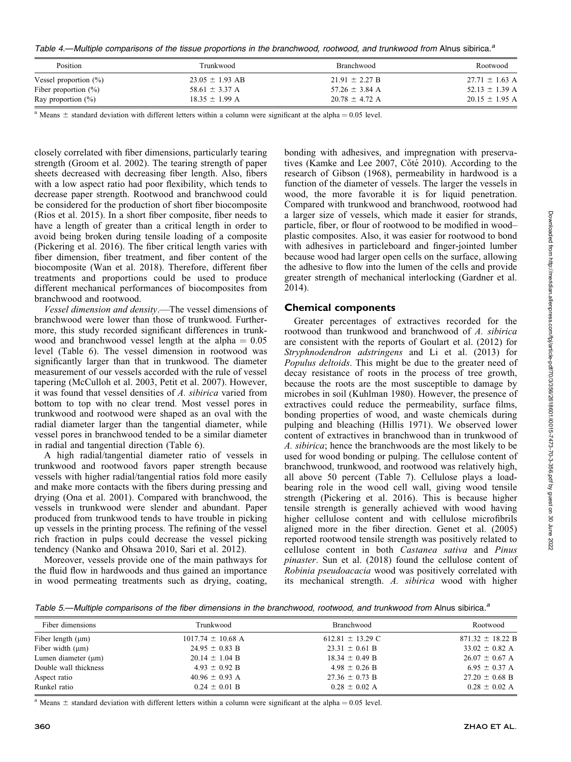Table 4.—Multiple comparisons of the tissue proportions in the branchwood, rootwood, and trunkwood from Alnus sibirica.<sup>a</sup>

| <b>Position</b>          | Trunkwood           | <b>Branchwood</b>  | Rootwood           |
|--------------------------|---------------------|--------------------|--------------------|
| Vessel proportion $(\%)$ | $23.05 \pm 1.93$ AB | $21.91 \pm 2.27 B$ | $27.71 \pm 1.63$ A |
| Fiber proportion $(\%)$  | 58.61 $\pm$ 3.37 A  | 57.26 $\pm$ 3.84 A | $52.13 \pm 1.39$ A |
| Ray proportion $(\%)$    | $18.35 \pm 1.99$ A  | $20.78 \pm 4.72$ A | $20.15 \pm 1.95$ A |

<sup>a</sup> Means  $\pm$  standard deviation with different letters within a column were significant at the alpha = 0.05 level.

closely correlated with fiber dimensions, particularly tearing strength (Groom et al. 2002). The tearing strength of paper sheets decreased with decreasing fiber length. Also, fibers with a low aspect ratio had poor flexibility, which tends to decrease paper strength. Rootwood and branchwood could be considered for the production of short fiber biocomposite (Rios et al. 2015). In a short fiber composite, fiber needs to have a length of greater than a critical length in order to avoid being broken during tensile loading of a composite (Pickering et al. 2016). The fiber critical length varies with fiber dimension, fiber treatment, and fiber content of the biocomposite (Wan et al. 2018). Therefore, different fiber treatments and proportions could be used to produce different mechanical performances of biocomposites from branchwood and rootwood.

Vessel dimension and density.—The vessel dimensions of branchwood were lower than those of trunkwood. Furthermore, this study recorded significant differences in trunkwood and branchwood vessel length at the alpha  $= 0.05$ level (Table 6). The vessel dimension in rootwood was significantly larger than that in trunkwood. The diameter measurement of our vessels accorded with the rule of vessel tapering (McCulloh et al. 2003, Petit et al. 2007). However, it was found that vessel densities of A. sibirica varied from bottom to top with no clear trend. Most vessel pores in trunkwood and rootwood were shaped as an oval with the radial diameter larger than the tangential diameter, while vessel pores in branchwood tended to be a similar diameter in radial and tangential direction (Table 6).

A high radial/tangential diameter ratio of vessels in trunkwood and rootwood favors paper strength because vessels with higher radial/tangential ratios fold more easily and make more contacts with the fibers during pressing and drying (Ona et al. 2001). Compared with branchwood, the vessels in trunkwood were slender and abundant. Paper produced from trunkwood tends to have trouble in picking up vessels in the printing process. The refining of the vessel rich fraction in pulps could decrease the vessel picking tendency (Nanko and Ohsawa 2010, Sari et al. 2012).

Moreover, vessels provide one of the main pathways for the fluid flow in hardwoods and thus gained an importance in wood permeating treatments such as drying, coating, bonding with adhesives, and impregnation with preservatives (Kamke and Lee 2007, Cŏté 2010). According to the research of Gibson (1968), permeability in hardwood is a function of the diameter of vessels. The larger the vessels in wood, the more favorable it is for liquid penetration. Compared with trunkwood and branchwood, rootwood had a larger size of vessels, which made it easier for strands, particle, fiber, or flour of rootwood to be modified in wood– plastic composites. Also, it was easier for rootwood to bond with adhesives in particleboard and finger-jointed lumber because wood had larger open cells on the surface, allowing the adhesive to flow into the lumen of the cells and provide greater strength of mechanical interlocking (Gardner et al. 2014).

## Chemical components

Greater percentages of extractives recorded for the rootwood than trunkwood and branchwood of A. sibirica are consistent with the reports of Goulart et al. (2012) for Stryphnodendron adstringens and Li et al. (2013) for Populus deltoids. This might be due to the greater need of decay resistance of roots in the process of tree growth, because the roots are the most susceptible to damage by microbes in soil (Kuhlman 1980). However, the presence of extractives could reduce the permeability, surface films, bonding properties of wood, and waste chemicals during pulping and bleaching (Hillis 1971). We observed lower content of extractives in branchwood than in trunkwood of A. sibirica; hence the branchwoods are the most likely to be used for wood bonding or pulping. The cellulose content of branchwood, trunkwood, and rootwood was relatively high, all above 50 percent (Table 7). Cellulose plays a loadbearing role in the wood cell wall, giving wood tensile strength (Pickering et al. 2016). This is because higher tensile strength is generally achieved with wood having higher cellulose content and with cellulose microfibrils aligned more in the fiber direction. Genet et al. (2005) reported rootwood tensile strength was positively related to cellulose content in both Castanea sativa and Pinus pinaster. Sun et al. (2018) found the cellulose content of Robinia pseudoacacia wood was positively correlated with its mechanical strength. A. sibirica wood with higher

Table 5.—Multiple comparisons of the fiber dimensions in the branchwood, rootwood, and trunkwood from Alnus sibirica.<sup>a</sup>

| Fiber dimensions         | Trunkwood             | Branchwood           | Rootwood             |  |
|--------------------------|-----------------------|----------------------|----------------------|--|
| Fiber length $(\mu m)$   | $1017.74 \pm 10.68$ A | 612.81 $\pm$ 13.29 C | $871.32 \pm 18.22$ B |  |
| Fiber width $(\mu m)$    | $24.95 \pm 0.83$ B    | $23.31 \pm 0.61$ B   | $33.02 \pm 0.82$ A   |  |
| Lumen diameter $(\mu m)$ | $20.14 \pm 1.04$ B    | $18.34 \pm 0.49$ B   | $26.07 \pm 0.67$ A   |  |
| Double wall thickness    | $4.93 \pm 0.92$ B     | $4.98 \pm 0.26$ B    | $6.95 \pm 0.37$ A    |  |
| Aspect ratio             | $40.96 \pm 0.93$ A    | $27.36 \pm 0.73$ B   | $27.20 \pm 0.68$ B   |  |
| Runkel ratio             | $0.24 \pm 0.01$ B     | $0.28 \pm 0.02$ A    | $0.28 \pm 0.02$ A    |  |

<sup>a</sup> Means  $\pm$  standard deviation with different letters within a column were significant at the alpha = 0.05 level.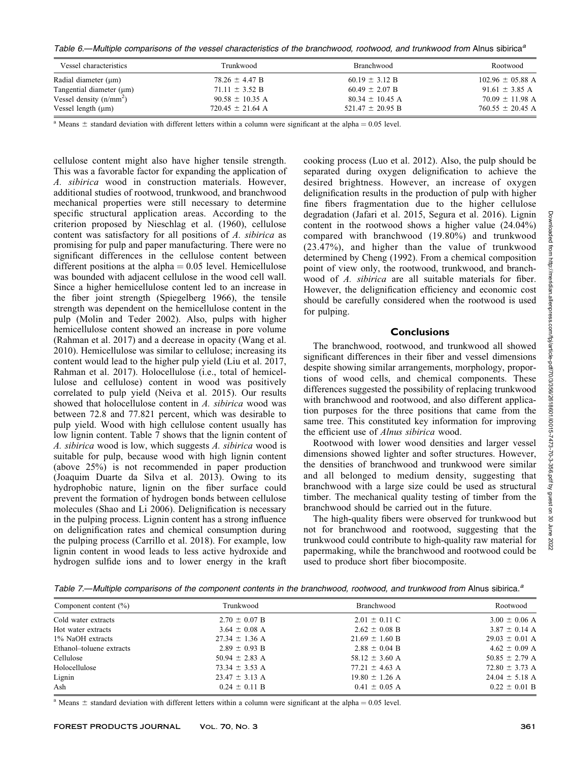Table 6.—Multiple comparisons of the vessel characteristics of the branchwood, rootwood, and trunkwood from Alnus sibirica<sup>a</sup>

| Vessel characteristics        | Trunkwood            | <b>Branchwood</b>    | Rootwood             |
|-------------------------------|----------------------|----------------------|----------------------|
| Radial diameter $(\mu m)$     | $78.26 \pm 4.47$ B   | $60.19 \pm 3.12$ B   | $102.96 \pm 05.88$ A |
| Tangential diameter $(\mu m)$ | $71.11 \pm 3.52$ B   | $60.49 \pm 2.07$ B   | $91.61 \pm 3.85$ A   |
| Vessel density $(n/mm2)$      | $90.58 \pm 10.35$ A  | $80.34 \pm 10.45$ A  | $70.09 \pm 11.98$ A  |
| Vessel length $(\mu m)$       | $720.45 \pm 21.64$ A | $521.47 \pm 20.95$ B | $760.55 \pm 20.45$ A |

<sup>a</sup> Means  $\pm$  standard deviation with different letters within a column were significant at the alpha = 0.05 level.

cellulose content might also have higher tensile strength. This was a favorable factor for expanding the application of A. sibirica wood in construction materials. However, additional studies of rootwood, trunkwood, and branchwood mechanical properties were still necessary to determine specific structural application areas. According to the criterion proposed by Nieschlag et al. (1960), cellulose content was satisfactory for all positions of A. sibirica as promising for pulp and paper manufacturing. There were no significant differences in the cellulose content between different positions at the alpha  $= 0.05$  level. Hemicellulose was bounded with adjacent cellulose in the wood cell wall. Since a higher hemicellulose content led to an increase in the fiber joint strength (Spiegelberg 1966), the tensile strength was dependent on the hemicellulose content in the pulp (Molin and Teder 2002). Also, pulps with higher hemicellulose content showed an increase in pore volume (Rahman et al. 2017) and a decrease in opacity (Wang et al. 2010). Hemicellulose was similar to cellulose; increasing its content would lead to the higher pulp yield (Liu et al. 2017, Rahman et al. 2017). Holocellulose (i.e., total of hemicellulose and cellulose) content in wood was positively correlated to pulp yield (Neiva et al. 2015). Our results showed that holocellulose content in A. sibirica wood was between 72.8 and 77.821 percent, which was desirable to pulp yield. Wood with high cellulose content usually has low lignin content. Table 7 shows that the lignin content of A. sibirica wood is low, which suggests A. sibirica wood is suitable for pulp, because wood with high lignin content (above 25%) is not recommended in paper production (Joaquim Duarte da Silva et al. 2013). Owing to its hydrophobic nature, lignin on the fiber surface could prevent the formation of hydrogen bonds between cellulose molecules (Shao and Li 2006). Delignification is necessary in the pulping process. Lignin content has a strong influence on delignification rates and chemical consumption during the pulping process (Carrillo et al. 2018). For example, low lignin content in wood leads to less active hydroxide and hydrogen sulfide ions and to lower energy in the kraft

cooking process (Luo et al. 2012). Also, the pulp should be separated during oxygen delignification to achieve the desired brightness. However, an increase of oxygen delignification results in the production of pulp with higher fine fibers fragmentation due to the higher cellulose degradation (Jafari et al. 2015, Segura et al. 2016). Lignin content in the rootwood shows a higher value (24.04%) compared with branchwood (19.80%) and trunkwood (23.47%), and higher than the value of trunkwood determined by Cheng (1992). From a chemical composition point of view only, the rootwood, trunkwood, and branchwood of A. sibirica are all suitable materials for fiber. However, the delignification efficiency and economic cost should be carefully considered when the rootwood is used for pulping.

# **Conclusions**

The branchwood, rootwood, and trunkwood all showed significant differences in their fiber and vessel dimensions despite showing similar arrangements, morphology, proportions of wood cells, and chemical components. These differences suggested the possibility of replacing trunkwood with branchwood and rootwood, and also different application purposes for the three positions that came from the same tree. This constituted key information for improving the efficient use of Alnus sibirica wood.

Rootwood with lower wood densities and larger vessel dimensions showed lighter and softer structures. However, the densities of branchwood and trunkwood were similar and all belonged to medium density, suggesting that branchwood with a large size could be used as structural timber. The mechanical quality testing of timber from the branchwood should be carried out in the future.

The high-quality fibers were observed for trunkwood but not for branchwood and rootwood, suggesting that the trunkwood could contribute to high-quality raw material for papermaking, while the branchwood and rootwood could be used to produce short fiber biocomposite.

Table 7.—Multiple comparisons of the component contents in the branchwood, rootwood, and trunkwood from Alnus sibirica.<sup>a</sup>

| Component content $(\% )$ | Trunkwood          | Branchwood         | Rootwood           |  |
|---------------------------|--------------------|--------------------|--------------------|--|
| Cold water extracts       | $2.70 \pm 0.07$ B  | $2.01 \pm 0.11$ C  | $3.00 \pm 0.06$ A  |  |
| Hot water extracts        | $3.64 \pm 0.08$ A  | $2.62 \pm 0.08$ B  | $3.87 \pm 0.14$ A  |  |
| 1% NaOH extracts          | $27.34 \pm 1.36$ A | $21.69 \pm 1.60$ B | $29.03 \pm 0.01$ A |  |
| Ethanol-toluene extracts  | $2.89 \pm 0.93$ B  | $2.88 \pm 0.04$ B  | $4.62 \pm 0.09$ A  |  |
| Cellulose                 | $50.94 \pm 2.83$ A | $58.12 \pm 3.60$ A | $50.85 \pm 2.79$ A |  |
| Holocellulose             | 73.34 $\pm$ 3.53 A | $77.21 \pm 4.63$ A | $72.80 \pm 3.73$ A |  |
| Lignin                    | $23.47 \pm 3.13$ A | $19.80 \pm 1.26$ A | $24.04 \pm 5.18$ A |  |
| Ash                       | $0.24 \pm 0.11$ B  | $0.41 \pm 0.05$ A  | $0.22 \pm 0.01$ B  |  |

<sup>a</sup> Means  $\pm$  standard deviation with different letters within a column were significant at the alpha = 0.05 level.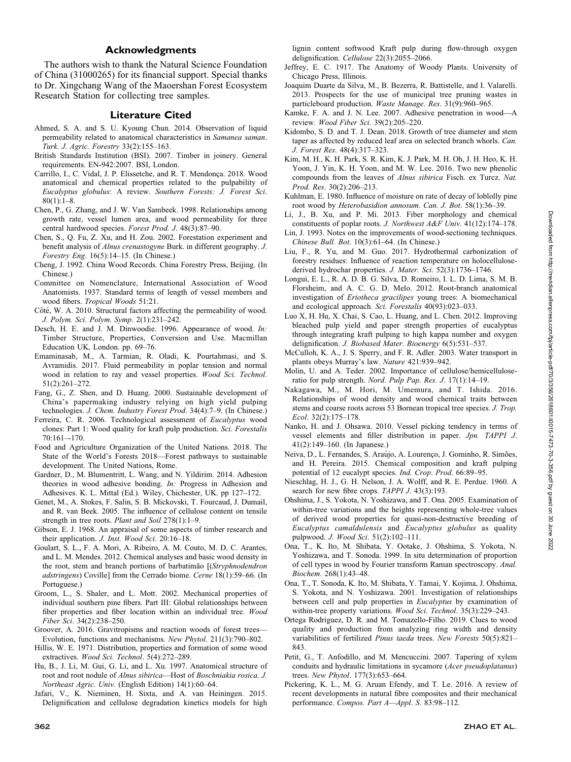## Acknowledgments

The authors wish to thank the Natural Science Foundation of China (31000265) for its financial support. Special thanks to Dr. Xingchang Wang of the Maoershan Forest Ecosystem Research Station for collecting tree samples.

#### Literature Cited

- Ahmed, S. A. and S. U. Kyoung Chun. 2014. Observation of liquid permeability related to anatomical characteristics in Samanea saman. Turk. J. Agric. Forestry 33(2):155–163.
- British Standards Institution (BSI). 2007. Timber in joinery. General requirements. EN-942:2007. BSI, London.
- Carrillo, I., C. Vidal, J. P. Elissetche, and R. T. Mendonça. 2018. Wood anatomical and chemical properties related to the pulpability of Eucalyptus globulus: A review. Southern Forests: J. Forest Sci.  $80(1):1-8.$
- Chen, P., G. Zhang, and J. W. Van Sambeek. 1998. Relationships among growth rate, vessel lumen area, and wood permeability for three central hardwood species. Forest Prod. J. 48(3):87-90.
- Chen, S., Q. Fu, Z. Xu, and H. Zou. 2002. Forestation experiment and benefit analysis of Alnus crenastogyne Burk. in different geography. J. Forestry Eng. 16(5):14–15. (In Chinese.)
- Cheng, J. 1992. China Wood Records. China Forestry Press, Beijing. (In Chinese.)
- Committee on Nomenclature, International Association of Wood Anatomists. 1937. Standard terms of length of vessel members and wood fibers. Tropical Woods 51:21.
- Cŏté, W. A. 2010. Structural factors affecting the permeability of wood. J. Polym. Sci. Polym. Symp. 2(1):231–242.
- Desch, H. E. and J. M. Dinwoodie. 1996. Appearance of wood. In: Timber Structure, Properties, Conversion and Use. Macmillan Education UK, London. pp. 69–76.
- Emaminasab, M., A. Tarmian, R. Oladi, K. Pourtahmasi, and S. Avramidis. 2017. Fluid permeability in poplar tension and normal wood in relation to ray and vessel properties. Wood Sci. Technol. 51(2):261–272.
- Fang, G., Z. Shen, and D. Huang. 2000. Sustainable development of China's papermaking industry relying on high yield pulping technologies. J. Chem. Industry Forest Prod. 34(4):7-9. (In Chinese.)
- Ferreira, C. R. 2006. Technological assessment of Eucalyptus wood clones: Part 1: Wood quality for kraft pulp production. Sci. Forestalis  $70:161 - 170.$
- Food and Agriculture Organization of the United Nations. 2018. The State of the World's Forests 2018—Forest pathways to sustainable development. The United Nations, Rome.
- Gardner, D., M. Blumentritt, L. Wang, and N. Yildirim. 2014. Adhesion theories in wood adhesive bonding. In: Progress in Adhesion and Adhesives. K. L. Mittal (Ed.). Wiley, Chichester, UK. pp 127–172.
- Genet, M., A. Stokes, F. Salin, S. B. Mickovski, T. Fourcaud, J. Dumail, and R. van Beek. 2005. The influence of cellulose content on tensile strength in tree roots. Plant and Soil 278(1):1-9.
- Gibson, E. J. 1968. An appraisal of some aspects of timber research and their application. J. Inst. Wood Sci. 20:16–18.
- Goulart, S. L., F. A. Mori, A. Ribeiro, A. M. Couto, M. D. C. Arantes, and L. M. Mendes. 2012. Chemical analyses and basic wood density in the root, stem and branch portions of barbatimão [(Stryphnodendron adstringens) Coville] from the Cerrado biome. Cerne 18(1):59–66. (In Portuguese.)
- Groom, L., S. Shaler, and L. Mott. 2002. Mechanical properties of individual southern pine fibers. Part III: Global relationships between fiber properties and fiber location within an individual tree. Wood Fiber Sci. 34(2):238–250.
- Groover, A. 2016. Gravitropisms and reaction woods of forest trees— Evolution, functions and mechanisms. New Phytol. 211(3):790–802.
- Hillis, W. E. 1971. Distribution, properties and formation of some wood extractives. Wood Sci. Technol. 5(4):272–289.
- Hu, B., J. Li, M. Gui, G. Li, and L. Xu. 1997. Anatomical structure of root and root nodule of Alnus sibirica—Host of Boschniakia rosica. J. Northeast Agric. Univ. (English Edition) 14(1):60–64.
- Jafari, V., K. Nieminen, H. Sixta, and A. van Heiningen. 2015. Delignification and cellulose degradation kinetics models for high

lignin content softwood Kraft pulp during flow-through oxygen delignification. Cellulose 22(3):2055–2066.

- Jeffrey, E. C. 1917. The Anatomy of Woody Plants. University of Chicago Press, Illinois.
- Joaquim Duarte da Silva, M., B. Bezerra, R. Battistelle, and I. Valarelli. 2013. Prospects for the use of municipal tree pruning wastes in particleboard production. Waste Manage. Res. 31(9):960–965.
- Kamke, F. A. and J. N. Lee. 2007. Adhesive penetration in wood—A review. Wood Fiber Sci. 39(2):205–220.
- Kidombo, S. D. and T. J. Dean. 2018. Growth of tree diameter and stem taper as affected by reduced leaf area on selected branch whorls. Can. J. Forest Res. 48(4):317–323.
- Kim, M. H., K. H. Park, S. R. Kim, K. J. Park, M. H. Oh, J. H. Heo, K. H. Yoon, J. Yin, K. H. Yoon, and M. W. Lee. 2016. Two new phenolic compounds from the leaves of Alnus sibirica Fisch. ex Turcz. Nat. Prod. Res. 30(2):206–213.
- Kuhlman, E. 1980. Influence of moisture on rate of decay of loblolly pine root wood by Heterobasidion annosum. Can. J. Bot. 58(1):36–39.
- Li, J., B. Xu, and P. Mi. 2013. Fiber morphology and chemical constituents of poplar roots. J. Northwest A&F Univ. 41(12):174–178.
- Lin, J. 1993. Notes on the improvements of wood-sectioning techniques. Chinese Bull. Bot. 10(3):61–64. (In Chinese.)
- Liu, F., R. Yu, and M. Guo. 2017. Hydrothermal carbonization of forestry residues: Influence of reaction temperature on holocellulosederived hydrochar properties. J. Mater. Sci. 52(3):1736-1746.
- Longui, E. L., R. A. D. B. G. Silva, D. Romeiro, I. L. D. Lima, S. M. B. Florsheim, and A. C. G. D. Melo. 2012. Root-branch anatomical investigation of Eriotheca gracilipes young trees: A biomechanical and ecological approach. Sci. Forestalis 40(93):023–033.
- Luo X, H. Hu, X. Chai, S. Cao, L. Huang, and L. Chen. 2012. Improving bleached pulp yield and paper strength properties of eucalyptus through integrating kraft pulping to high kappa number and oxygen delignification. J. Biobased Mater. Bioenergy 6(5):531–537.
- McCulloh, K. A., J. S. Sperry, and F. R. Adler. 2003. Water transport in plants obeys Murray's law. Nature 421:939–942.
- Molin, U. and A. Teder. 2002. Importance of cellulose/hemicelluloseratio for pulp strength. Nord. Pulp Pap. Res. J. 17(1):14–19.
- Nakagawa, M., M. Hori, M. Umemura, and T. Ishida. 2016. Relationships of wood density and wood chemical traits between stems and coarse roots across 53 Bornean tropical tree species. J. Trop. Ecol. 32(2):175–178.
- Nanko, H. and J. Ohsawa. 2010. Vessel picking tendency in terms of vessel elements and filler distribution in paper. Jpn. TAPPI J. 41(2):149–160. (In Japanese.)
- Neiva, D., L. Fernandes, S. Araújo, A. Lourenço, J. Gominho, R. Simões, and H. Pereira. 2015. Chemical composition and kraft pulping potential of 12 eucalypt species. *Ind. Crop. Prod.* 66:89–95.
- Nieschlag, H. J., G. H. Nelson, J. A. Wolff, and R. E. Perdue. 1960. A search for new fibre crops. TAPPI J. 43(3):193.
- Ohshima, J., S. Yokota, N. Yoshizawa, and T. Ona. 2005. Examination of within-tree variations and the heights representing whole-tree values of derived wood properties for quasi-non-destructive breeding of Eucalyptus camaldulensis and Eucalyptus globulus as quality pulpwood. J. Wood Sci. 51(2):102–111.
- Ona, T., K. Ito, M. Shibata, Y. Ootake, J. Ohshima, S. Yokota, N. Yoshizawa, and T. Sonoda. 1999. In situ determination of proportion of cell types in wood by Fourier transform Raman spectroscopy. Anal. Biochem. 268(1):43–48.
- Ona, T., T. Sonoda, K. Ito, M. Shibata, Y. Tamai, Y. Kojima, J. Ohshima, S. Yokota, and N. Yoshizawa. 2001. Investigation of relationships between cell and pulp properties in Eucalyptus by examination of within-tree property variations. Wood Sci. Technol. 35(3):229–243.
- Ortega Rodriguez, D. R. and M. Tomazello-Filho. 2019. Clues to wood quality and production from analyzing ring width and density variabilities of fertilized Pinus taeda trees. New Forests 50(5):821– 843.
- Petit, G., T. Anfodillo, and M. Mencuccini. 2007. Tapering of xylem conduits and hydraulic limitations in sycamore (Acer pseudoplatanus) trees. New Phytol. 177(3):653-664.
- Pickering, K. L., M. G. Aruan Efendy, and T. Le. 2016. A review of recent developments in natural fibre composites and their mechanical performance. Compos. Part A—Appl. S. 83:98–112.